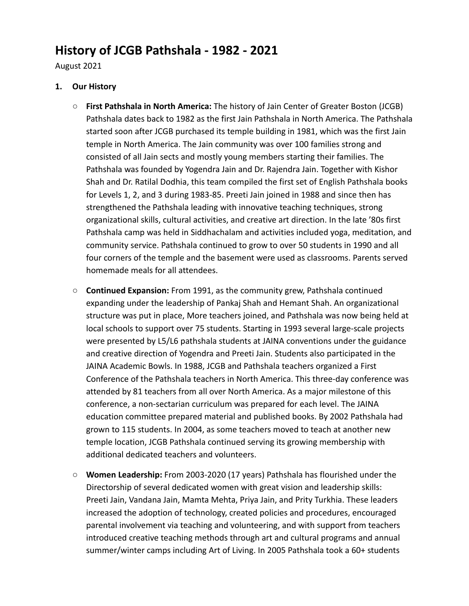# **History of JCGB Pathshala - 1982 - 2021**

August 2021

# **1. Our History**

- **First Pathshala in North America:** The history of Jain Center of Greater Boston (JCGB) Pathshala dates back to 1982 as the first Jain Pathshala in North America. The Pathshala started soon after JCGB purchased its temple building in 1981, which was the first Jain temple in North America. The Jain community was over 100 families strong and consisted of all Jain sects and mostly young members starting their families. The Pathshala was founded by Yogendra Jain and Dr. Rajendra Jain. Together with Kishor Shah and Dr. Ratilal Dodhia, this team compiled the first set of English Pathshala books for Levels 1, 2, and 3 during 1983-85. Preeti Jain joined in 1988 and since then has strengthened the Pathshala leading with innovative teaching techniques, strong organizational skills, cultural activities, and creative art direction. In the late '80s first Pathshala camp was held in Siddhachalam and activities included yoga, meditation, and community service. Pathshala continued to grow to over 50 students in 1990 and all four corners of the temple and the basement were used as classrooms. Parents served homemade meals for all attendees.
- **Continued Expansion:** From 1991, as the community grew, Pathshala continued expanding under the leadership of Pankaj Shah and Hemant Shah. An organizational structure was put in place, More teachers joined, and Pathshala was now being held at local schools to support over 75 students. Starting in 1993 several large-scale projects were presented by L5/L6 pathshala students at JAINA conventions under the guidance and creative direction of Yogendra and Preeti Jain. Students also participated in the JAINA Academic Bowls. In 1988, JCGB and Pathshala teachers organized a First Conference of the Pathshala teachers in North America. This three-day conference was attended by 81 teachers from all over North America. As a major milestone of this conference, a non-sectarian curriculum was prepared for each level. The JAINA education committee prepared material and published books. By 2002 Pathshala had grown to 115 students. In 2004, as some teachers moved to teach at another new temple location, JCGB Pathshala continued serving its growing membership with additional dedicated teachers and volunteers.
- **Women Leadership:** From 2003-2020 (17 years) Pathshala has flourished under the Directorship of several dedicated women with great vision and leadership skills: Preeti Jain, Vandana Jain, Mamta Mehta, Priya Jain, and Prity Turkhia. These leaders increased the adoption of technology, created policies and procedures, encouraged parental involvement via teaching and volunteering, and with support from teachers introduced creative teaching methods through art and cultural programs and annual summer/winter camps including Art of Living. In 2005 Pathshala took a 60+ students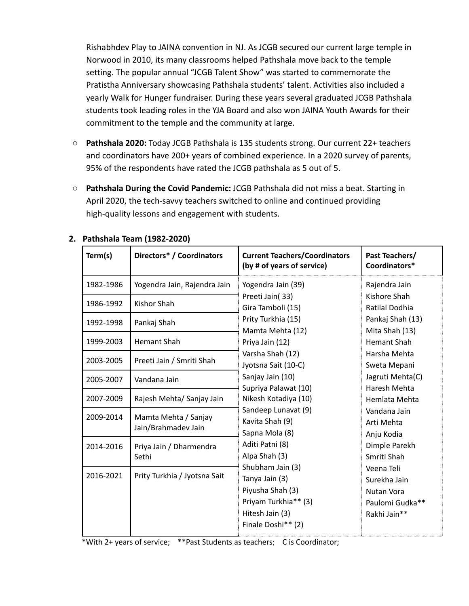Rishabhdev Play to JAINA convention in NJ. As JCGB secured our current large temple in Norwood in 2010, its many classrooms helped Pathshala move back to the temple setting. The popular annual "JCGB Talent Show" was started to commemorate the Pratistha Anniversary showcasing Pathshala students' talent. Activities also included a yearly Walk for Hunger fundraiser. During these years several graduated JCGB Pathshala students took leading roles in the YJA Board and also won JAINA Youth Awards for their commitment to the temple and the community at large.

- **Pathshala 2020:** Today JCGB Pathshala is 135 students strong. Our current 22+ teachers and coordinators have 200+ years of combined experience. In a 2020 survey of parents, 95% of the respondents have rated the JCGB pathshala as 5 out of 5.
- **Pathshala During the Covid Pandemic:** JCGB Pathshala did not miss a beat. Starting in April 2020, the tech-savvy teachers switched to online and continued providing high-quality lessons and engagement with students.

| Term(s)   | Directors* / Coordinators                   | <b>Current Teachers/Coordinators</b><br>(by # of years of service)                                                                                                                                                      | Past Teachers/<br>Coordinators*                                                                                                                         |
|-----------|---------------------------------------------|-------------------------------------------------------------------------------------------------------------------------------------------------------------------------------------------------------------------------|---------------------------------------------------------------------------------------------------------------------------------------------------------|
| 1982-1986 | Yogendra Jain, Rajendra Jain                | Yogendra Jain (39)                                                                                                                                                                                                      | Rajendra Jain                                                                                                                                           |
| 1986-1992 | Kishor Shah                                 | Preeti Jain(33)<br>Gira Tamboli (15)<br>Prity Turkhia (15)<br>Mamta Mehta (12)<br>Priya Jain (12)                                                                                                                       | Kishore Shah<br>Ratilal Dodhia                                                                                                                          |
| 1992-1998 | Pankaj Shah                                 |                                                                                                                                                                                                                         | Pankaj Shah (13)<br>Mita Shah (13)                                                                                                                      |
| 1999-2003 | <b>Hemant Shah</b>                          |                                                                                                                                                                                                                         | <b>Hemant Shah</b>                                                                                                                                      |
| 2003-2005 | Preeti Jain / Smriti Shah                   | Varsha Shah (12)<br>Jyotsna Sait (10-C)                                                                                                                                                                                 | Harsha Mehta<br>Sweta Mepani                                                                                                                            |
| 2005-2007 | Vandana Jain                                | Sanjay Jain (10)<br>Supriya Palawat (10)                                                                                                                                                                                | Jagruti Mehta(C)<br>Haresh Mehta                                                                                                                        |
| 2007-2009 | Rajesh Mehta/ Sanjay Jain                   | Nikesh Kotadiya (10)                                                                                                                                                                                                    | Hemlata Mehta                                                                                                                                           |
| 2009-2014 | Mamta Mehta / Sanjay<br>Jain/Brahmadev Jain | Sandeep Lunavat (9)<br>Kavita Shah (9)<br>Sapna Mola (8)<br>Aditi Patni (8)<br>Alpa Shah (3)<br>Shubham Jain (3)<br>Tanya Jain (3)<br>Piyusha Shah (3)<br>Priyam Turkhia** (3)<br>Hitesh Jain (3)<br>Finale Doshi** (2) | Vandana Jain<br>Arti Mehta<br>Anju Kodia<br>Dimple Parekh<br>Smriti Shah<br>Veena Teli<br>Surekha Jain<br>Nutan Vora<br>Paulomi Gudka**<br>Rakhi Jain** |
| 2014-2016 | Priya Jain / Dharmendra<br>Sethi            |                                                                                                                                                                                                                         |                                                                                                                                                         |
| 2016-2021 | Prity Turkhia / Jyotsna Sait                |                                                                                                                                                                                                                         |                                                                                                                                                         |

## **2. Pathshala Team (1982-2020)**

\*With 2+ years of service; \*\*Past Students as teachers; C is Coordinator;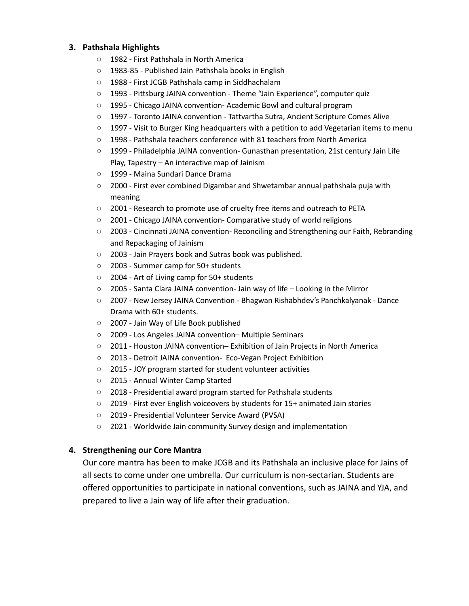## **3. Pathshala Highlights**

- 1982 First Pathshala in North America
- 1983-85 Published Jain Pathshala books in English
- 1988 First JCGB Pathshala camp in Siddhachalam
- 1993 Pittsburg JAINA convention Theme "Jain Experience", computer quiz
- 1995 Chicago JAINA convention- Academic Bowl and cultural program
- 1997 Toronto JAINA convention Tattvartha Sutra, Ancient Scripture Comes Alive
- $\circ$  1997 Visit to Burger King headquarters with a petition to add Vegetarian items to menu
- 1998 Pathshala teachers conference with 81 teachers from North America
- 1999 Philadelphia JAINA convention- Gunasthan presentation, 21st century Jain Life Play, Tapestry – An interactive map of Jainism
- 1999 Maina Sundari Dance Drama
- 2000 First ever combined Digambar and Shwetambar annual pathshala puja with meaning
- 2001 Research to promote use of cruelty free items and outreach to PETA
- 2001 Chicago JAINA convention- Comparative study of world religions
- 2003 Cincinnati JAINA convention- Reconciling and Strengthening our Faith, Rebranding and Repackaging of Jainism
- 2003 Jain Prayers book and Sutras book was published.
- 2003 Summer camp for 50+ students
- 2004 Art of Living camp for 50+ students
- 2005 Santa Clara JAINA convention- Jain way of life Looking in the Mirror
- 2007 New Jersey JAINA Convention Bhagwan Rishabhdev's Panchkalyanak Dance Drama with 60+ students.
- 2007 Jain Way of Life Book published
- 2009 Los Angeles JAINA convention– Multiple Seminars
- 2011 Houston JAINA convention– Exhibition of Jain Projects in North America
- 2013 Detroit JAINA convention- Eco-Vegan Project Exhibition
- 2015 JOY program started for student volunteer activities
- 2015 Annual Winter Camp Started
- 2018 Presidential award program started for Pathshala students
- 2019 First ever English voiceovers by students for 15+ animated Jain stories
- 2019 Presidential Volunteer Service Award (PVSA)
- 2021 Worldwide Jain community Survey design and implementation

## **4. Strengthening our Core Mantra**

Our core mantra has been to make JCGB and its Pathshala an inclusive place for Jains of all sects to come under one umbrella. Our curriculum is non-sectarian. Students are offered opportunities to participate in national conventions, such as JAINA and YJA, and prepared to live a Jain way of life after their graduation.